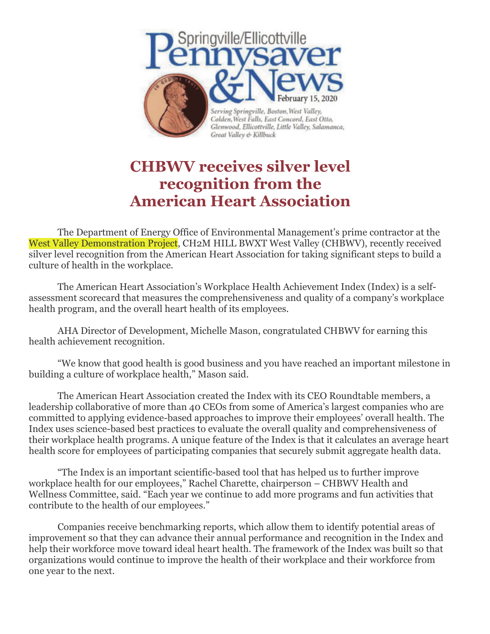

## **CHBWV receives silver level recognition from the American Heart Association**

The Department of Energy Office of Environmental Management's prime contractor at the West Valley Demonstration Project, CH2M HILL BWXT West Valley (CHBWV), recently received silver level recognition from the American Heart Association for taking significant steps to build a culture of health in the workplace.

The American Heart Association's Workplace Health Achievement Index (Index) is a selfassessment scorecard that measures the comprehensiveness and quality of a company's workplace health program, and the overall heart health of its employees.

AHA Director of Development, Michelle Mason, congratulated CHBWV for earning this health achievement recognition.

"We know that good health is good business and you have reached an important milestone in building a culture of workplace health," Mason said.

The American Heart Association created the Index with its CEO Roundtable members, a leadership collaborative of more than 40 CEOs from some of America's largest companies who are committed to applying evidence-based approaches to improve their employees' overall health. The Index uses science-based best practices to evaluate the overall quality and comprehensiveness of their workplace health programs. A unique feature of the Index is that it calculates an average heart health score for employees of participating companies that securely submit aggregate health data.

"The Index is an important scientific-based tool that has helped us to further improve workplace health for our employees," Rachel Charette, chairperson – CHBWV Health and Wellness Committee, said. "Each year we continue to add more programs and fun activities that contribute to the health of our employees."

Companies receive benchmarking reports, which allow them to identify potential areas of improvement so that they can advance their annual performance and recognition in the Index and help their workforce move toward ideal heart health. The framework of the Index was built so that organizations would continue to improve the health of their workplace and their workforce from one year to the next.